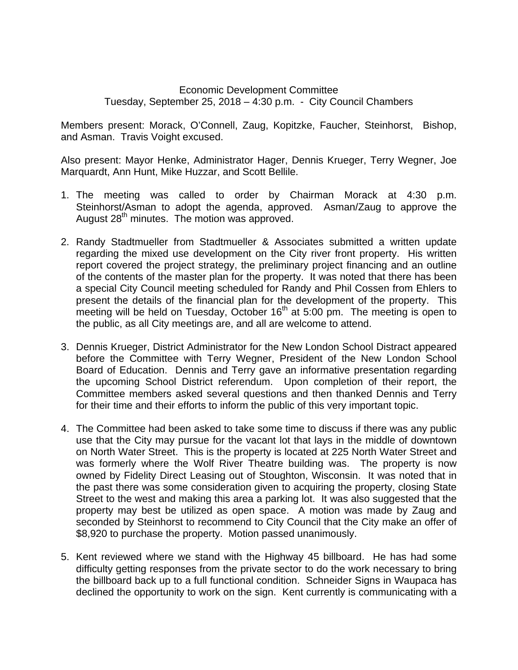## Economic Development Committee Tuesday, September 25, 2018 – 4:30 p.m. - City Council Chambers

Members present: Morack, O'Connell, Zaug, Kopitzke, Faucher, Steinhorst, Bishop, and Asman. Travis Voight excused.

Also present: Mayor Henke, Administrator Hager, Dennis Krueger, Terry Wegner, Joe Marquardt, Ann Hunt, Mike Huzzar, and Scott Bellile.

- 1. The meeting was called to order by Chairman Morack at 4:30 p.m. Steinhorst/Asman to adopt the agenda, approved. Asman/Zaug to approve the August 28<sup>th</sup> minutes. The motion was approved.
- 2. Randy Stadtmueller from Stadtmueller & Associates submitted a written update regarding the mixed use development on the City river front property. His written report covered the project strategy, the preliminary project financing and an outline of the contents of the master plan for the property. It was noted that there has been a special City Council meeting scheduled for Randy and Phil Cossen from Ehlers to present the details of the financial plan for the development of the property. This meeting will be held on Tuesday, October  $16<sup>th</sup>$  at 5:00 pm. The meeting is open to the public, as all City meetings are, and all are welcome to attend.
- 3. Dennis Krueger, District Administrator for the New London School Distract appeared before the Committee with Terry Wegner, President of the New London School Board of Education. Dennis and Terry gave an informative presentation regarding the upcoming School District referendum. Upon completion of their report, the Committee members asked several questions and then thanked Dennis and Terry for their time and their efforts to inform the public of this very important topic.
- 4. The Committee had been asked to take some time to discuss if there was any public use that the City may pursue for the vacant lot that lays in the middle of downtown on North Water Street. This is the property is located at 225 North Water Street and was formerly where the Wolf River Theatre building was. The property is now owned by Fidelity Direct Leasing out of Stoughton, Wisconsin. It was noted that in the past there was some consideration given to acquiring the property, closing State Street to the west and making this area a parking lot. It was also suggested that the property may best be utilized as open space. A motion was made by Zaug and seconded by Steinhorst to recommend to City Council that the City make an offer of \$8,920 to purchase the property. Motion passed unanimously.
- 5. Kent reviewed where we stand with the Highway 45 billboard. He has had some difficulty getting responses from the private sector to do the work necessary to bring the billboard back up to a full functional condition. Schneider Signs in Waupaca has declined the opportunity to work on the sign. Kent currently is communicating with a